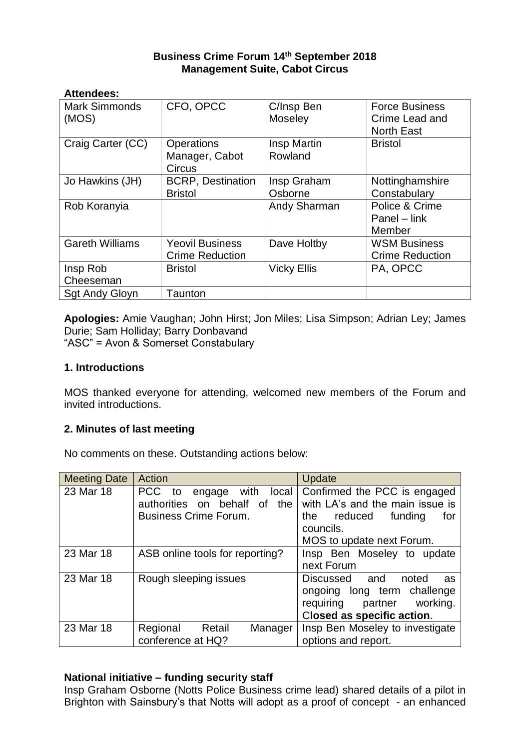# **Business Crime Forum 14th September 2018 Management Suite, Cabot Circus**

#### **Attendees:**

| <b>Mark Simmonds</b><br>(MOS) | CFO, OPCC                                            | C/Insp Ben<br>Moseley  | <b>Force Business</b><br>Crime Lead and<br><b>North East</b> |
|-------------------------------|------------------------------------------------------|------------------------|--------------------------------------------------------------|
| Craig Carter (CC)             | <b>Operations</b><br>Manager, Cabot<br><b>Circus</b> | Insp Martin<br>Rowland | <b>Bristol</b>                                               |
| Jo Hawkins (JH)               | <b>BCRP, Destination</b>                             | Insp Graham            | Nottinghamshire                                              |
|                               | <b>Bristol</b>                                       | Osborne                | Constabulary                                                 |
| Rob Koranyia                  |                                                      | Andy Sharman           | Police & Crime<br>Panel – link<br>Member                     |
| <b>Gareth Williams</b>        | <b>Yeovil Business</b><br><b>Crime Reduction</b>     | Dave Holtby            | <b>WSM Business</b><br><b>Crime Reduction</b>                |
| Insp Rob<br>Cheeseman         | <b>Bristol</b>                                       | <b>Vicky Ellis</b>     | PA, OPCC                                                     |
| <b>Sgt Andy Gloyn</b>         | Taunton                                              |                        |                                                              |

**Apologies:** Amie Vaughan; John Hirst; Jon Miles; Lisa Simpson; Adrian Ley; James Durie; Sam Holliday; Barry Donbavand "ASC" = Avon & Somerset Constabulary

#### **1. Introductions**

MOS thanked everyone for attending, welcomed new members of the Forum and invited introductions.

#### **2. Minutes of last meeting**

No comments on these. Outstanding actions below:

| <b>Meeting Date</b> | Action                                      | Update                           |
|---------------------|---------------------------------------------|----------------------------------|
| 23 Mar 18           | <b>PCC</b><br>with<br>to<br>local<br>engage | Confirmed the PCC is engaged     |
|                     | authorities on behalf of<br>the             | with LA's and the main issue is  |
|                     | <b>Business Crime Forum.</b>                | reduced<br>funding<br>the<br>for |
|                     |                                             | councils.                        |
|                     |                                             | MOS to update next Forum.        |
| 23 Mar 18           | ASB online tools for reporting?             | Insp Ben Moseley to update       |
|                     |                                             | next Forum                       |
| 23 Mar 18           | Rough sleeping issues                       | Discussed and<br>noted<br>as     |
|                     |                                             | ongoing long term challenge      |
|                     |                                             | working.<br>requiring<br>partner |
|                     |                                             | Closed as specific action.       |
| 23 Mar 18           | Regional<br>Retail<br>Manager               | Insp Ben Moseley to investigate  |
|                     | conference at HQ?                           | options and report.              |

#### **National initiative – funding security staff**

Insp Graham Osborne (Notts Police Business crime lead) shared details of a pilot in Brighton with Sainsbury's that Notts will adopt as a proof of concept - an enhanced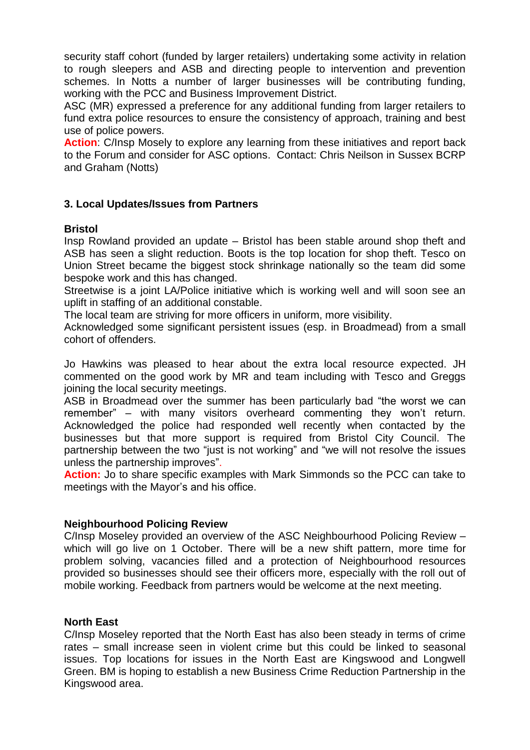security staff cohort (funded by larger retailers) undertaking some activity in relation to rough sleepers and ASB and directing people to intervention and prevention schemes. In Notts a number of larger businesses will be contributing funding, working with the PCC and Business Improvement District.

ASC (MR) expressed a preference for any additional funding from larger retailers to fund extra police resources to ensure the consistency of approach, training and best use of police powers.

**Action:** C/Insp Mosely to explore any learning from these initiatives and report back to the Forum and consider for ASC options. Contact: Chris Neilson in Sussex BCRP and Graham (Notts)

## **3. Local Updates/Issues from Partners**

#### **Bristol**

Insp Rowland provided an update – Bristol has been stable around shop theft and ASB has seen a slight reduction. Boots is the top location for shop theft. Tesco on Union Street became the biggest stock shrinkage nationally so the team did some bespoke work and this has changed.

Streetwise is a joint LA/Police initiative which is working well and will soon see an uplift in staffing of an additional constable.

The local team are striving for more officers in uniform, more visibility.

Acknowledged some significant persistent issues (esp. in Broadmead) from a small cohort of offenders.

Jo Hawkins was pleased to hear about the extra local resource expected. JH commented on the good work by MR and team including with Tesco and Greggs joining the local security meetings.

ASB in Broadmead over the summer has been particularly bad "the worst we can remember" – with many visitors overheard commenting they won't return. Acknowledged the police had responded well recently when contacted by the businesses but that more support is required from Bristol City Council. The partnership between the two "just is not working" and "we will not resolve the issues unless the partnership improves".

**Action:** Jo to share specific examples with Mark Simmonds so the PCC can take to meetings with the Mayor's and his office.

#### **Neighbourhood Policing Review**

C/Insp Moseley provided an overview of the ASC Neighbourhood Policing Review – which will go live on 1 October. There will be a new shift pattern, more time for problem solving, vacancies filled and a protection of Neighbourhood resources provided so businesses should see their officers more, especially with the roll out of mobile working. Feedback from partners would be welcome at the next meeting.

#### **North East**

C/Insp Moseley reported that the North East has also been steady in terms of crime rates – small increase seen in violent crime but this could be linked to seasonal issues. Top locations for issues in the North East are Kingswood and Longwell Green. BM is hoping to establish a new Business Crime Reduction Partnership in the Kingswood area.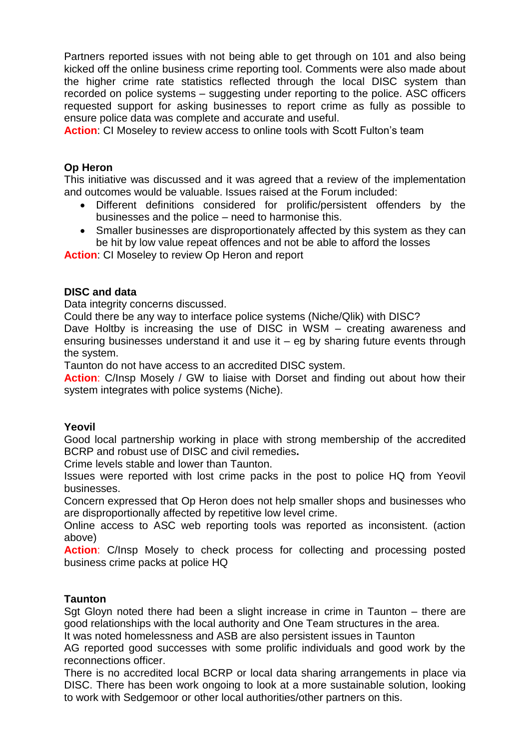Partners reported issues with not being able to get through on 101 and also being kicked off the online business crime reporting tool. Comments were also made about the higher crime rate statistics reflected through the local DISC system than recorded on police systems – suggesting under reporting to the police. ASC officers requested support for asking businesses to report crime as fully as possible to ensure police data was complete and accurate and useful.

**Action**: CI Moseley to review access to online tools with Scott Fulton's team

### **Op Heron**

This initiative was discussed and it was agreed that a review of the implementation and outcomes would be valuable. Issues raised at the Forum included:

- Different definitions considered for prolific/persistent offenders by the businesses and the police – need to harmonise this.
- Smaller businesses are disproportionately affected by this system as they can be hit by low value repeat offences and not be able to afford the losses

**Action:** CI Moseley to review Op Heron and report

## **DISC and data**

Data integrity concerns discussed.

Could there be any way to interface police systems (Niche/Qlik) with DISC?

Dave Holtby is increasing the use of DISC in WSM – creating awareness and ensuring businesses understand it and use it – eg by sharing future events through the system.

Taunton do not have access to an accredited DISC system.

**Action**: C/Insp Mosely / GW to liaise with Dorset and finding out about how their system integrates with police systems (Niche).

#### **Yeovil**

Good local partnership working in place with strong membership of the accredited BCRP and robust use of DISC and civil remedies**.**

Crime levels stable and lower than Taunton.

Issues were reported with lost crime packs in the post to police HQ from Yeovil businesses.

Concern expressed that Op Heron does not help smaller shops and businesses who are disproportionally affected by repetitive low level crime.

Online access to ASC web reporting tools was reported as inconsistent. (action above)

**Action**: C/Insp Mosely to check process for collecting and processing posted business crime packs at police HQ

#### **Taunton**

Sgt Gloyn noted there had been a slight increase in crime in Taunton – there are good relationships with the local authority and One Team structures in the area.

It was noted homelessness and ASB are also persistent issues in Taunton

AG reported good successes with some prolific individuals and good work by the reconnections officer.

There is no accredited local BCRP or local data sharing arrangements in place via DISC. There has been work ongoing to look at a more sustainable solution, looking to work with Sedgemoor or other local authorities/other partners on this.